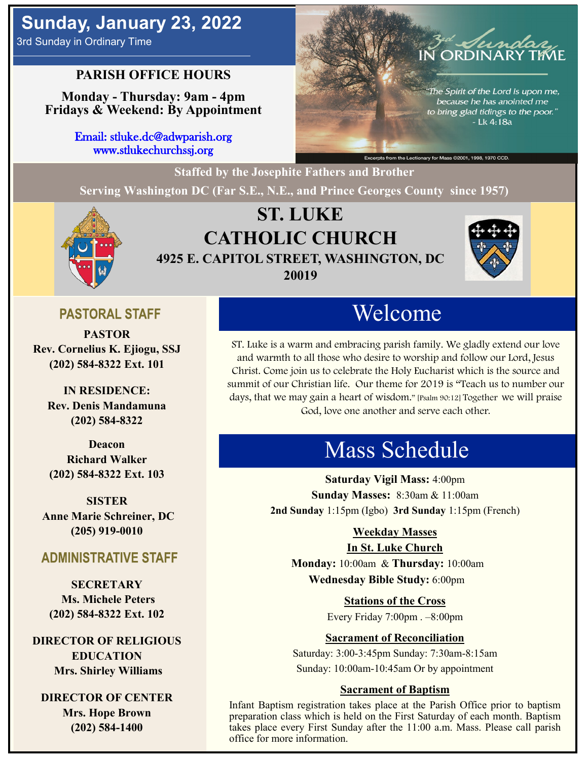## **PARISH OFFICE HOURS**

**Monday - Thursday: 9am - 4pm Fridays & Weekend: By Appointment**

> Email: stluke.dc@adwparish.org www.stlukechurchssj.org



**Staffed by the Josephite Fathers and Brother Serving Washington DC (Far S.E., N.E., and Prince Georges County since 1957)**



# **ST. LUKE CATHOLIC CHURCH 4925 E. CAPITOL STREET, WASHINGTON, DC 20019**



## **PASTORAL STAFF**

**PASTOR Rev. Cornelius K. Ejiogu, SSJ (202) 584-8322 Ext. 101**

**IN RESIDENCE: Rev. Denis Mandamuna (202) 584-8322** 

**Deacon Richard Walker (202) 584-8322 Ext. 103**

**SISTER Anne Marie Schreiner, DC (205) 919-0010**

### **ADMINISTRATIVE STAFF**

**SECRETARY Ms. Michele Peters (202) 584-8322 Ext. 102**

**DIRECTOR OF RELIGIOUS EDUCATION Mrs. Shirley Williams**

**DIRECTOR OF CENTER Mrs. Hope Brown (202) 584-1400**

# Welcome

ST. Luke is a warm and embracing parish family. We gladly extend our love and warmth to all those who desire to worship and follow our Lord, Jesus Christ. Come join us to celebrate the Holy Eucharist which is the source and summit of our Christian life. Our theme for 2019 is "Teach us to number our days, that we may gain a heart of wisdom." [Psalm 90:12] Together we will praise God, love one another and serve each other.

# Mass Schedule

**Saturday Vigil Mass:** 4:00pm **Sunday Masses:** 8:30am & 11:00am **2nd Sunday** 1:15pm (Igbo) **3rd Sunday** 1:15pm (French)

### **Weekday Masses**

#### **In St. Luke Church**

**Monday:** 10:00am & **Thursday:** 10:00am **Wednesday Bible Study:** 6:00pm

**Stations of the Cross**

Every Friday 7:00pm . –8:00pm

### **Sacrament of Reconciliation**

Saturday: 3:00-3:45pm Sunday: 7:30am-8:15am Sunday: 10:00am-10:45am Or by appointment

#### **Sacrament of Baptism**

Infant Baptism registration takes place at the Parish Office prior to baptism preparation class which is held on the First Saturday of each month. Baptism takes place every First Sunday after the 11:00 a.m. Mass. Please call parish office for more information.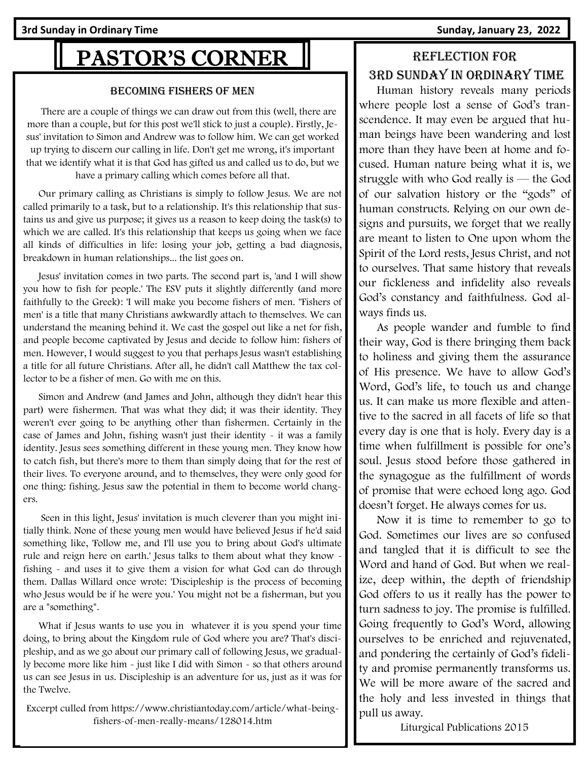# PASTOR'S CORNER

#### Becoming Fishers of Men

 There are a couple of things we can draw out from this (well, there are more than a couple, but for this post we'll stick to just a couple). Firstly, Jesus' invitation to Simon and Andrew was to follow him. We can get worked up trying to discern our calling in life. Don't get me wrong, it's important that we identify what it is that God has gifted us and called us to do, but we have a primary calling which comes before all that.

 Our primary calling as Christians is simply to follow Jesus. We are not called primarily to a task, but to a relationship. It's this relationship that sustains us and give us purpose; it gives us a reason to keep doing the task(s) to which we are called. It's this relationship that keeps us going when we face all kinds of difficulties in life: losing your job, getting a bad diagnosis, breakdown in human relationships... the list goes on.

 Jesus' invitation comes in two parts. The second part is, 'and I will show you how to fish for people.' The ESV puts it slightly differently (and more faithfully to the Greek): 'I will make you become fishers of men. ''Fishers of men' is a title that many Christians awkwardly attach to themselves. We can understand the meaning behind it. We cast the gospel out like a net for fish, and people become captivated by Jesus and decide to follow him: fishers of men. However, I would suggest to you that perhaps Jesus wasn't establishing a title for all future Christians. After all, he didn't call Matthew the tax collector to be a fisher of men. Go with me on this.

 Simon and Andrew (and James and John, although they didn't hear this part) were fishermen. That was what they did; it was their identity. They weren't ever going to be anything other than fishermen. Certainly in the case of James and John, fishing wasn't just their identity - it was a family identity. Jesus sees something different in these young men. They know how to catch fish, but there's more to them than simply doing that for the rest of their lives. To everyone around, and to themselves, they were only good for one thing: fishing. Jesus saw the potential in them to become world changers.

 Seen in this light, Jesus' invitation is much cleverer than you might initially think. None of these young men would have believed Jesus if he'd said something like, 'Follow me, and I'll use you to bring about God's ultimate rule and reign here on earth.' Jesus talks to them about what they know fishing - and uses it to give them a vision for what God can do through them. Dallas Willard once wrote: 'Discipleship is the process of becoming who Jesus would be if he were you.' You might not be a fisherman, but you are a \*something\*.

 What if Jesus wants to use you in whatever it is you spend your time doing, to bring about the Kingdom rule of God where you are? That's discipleship, and as we go about our primary call of following Jesus, we gradually become more like him - just like I did with Simon - so that others around us can see Jesus in us. Discipleship is an adventure for us, just as it was for the Twelve.

Excerpt culled from https://www.christiantoday.com/article/what-beingfishers-of-men-really-means/128014.htm

# Reflection for 3rd Sunday in Ordinary time

 Human history reveals many periods where people lost a sense of God's transcendence. It may even be argued that human beings have been wandering and lost more than they have been at home and focused. Human nature being what it is, we struggle with who God really is — the God of our salvation history or the "gods" of human constructs. Relying on our own designs and pursuits, we forget that we really are meant to listen to One upon whom the Spirit of the Lord rests, Jesus Christ, and not to ourselves. That same history that reveals our fickleness and infidelity also reveals God's constancy and faithfulness. God always finds us.

 As people wander and fumble to find their way, God is there bringing them back to holiness and giving them the assurance of His presence. We have to allow God's Word, God's life, to touch us and change us. It can make us more flexible and attentive to the sacred in all facets of life so that every day is one that is holy. Every day is a time when fulfillment is possible for one's soul. Jesus stood before those gathered in the synagogue as the fulfillment of words of promise that were echoed long ago. God doesn't forget. He always comes for us.

 Now it is time to remember to go to God. Sometimes our lives are so confused and tangled that it is difficult to see the Word and hand of God. But when we realize, deep within, the depth of friendship God offers to us it really has the power to turn sadness to joy. The promise is fulfilled. Going frequently to God's Word, allowing ourselves to be enriched and rejuvenated, and pondering the certainly of God's fidelity and promise permanently transforms us. We will be more aware of the sacred and the holy and less invested in things that pull us away.

Liturgical Publications 2015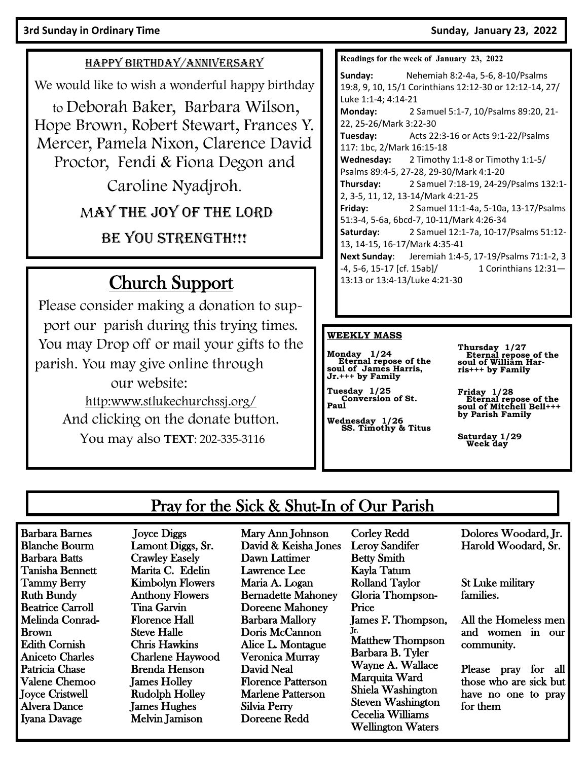#### **3rd Sunday in Ordinary Time Sunday, January 23, 2022**

#### HAPPY BIRTHDAY/ANNIVERSARY

We would like to wish a wonderful happy birthday

to Deborah Baker, Barbara Wilson, Hope Brown, Robert Stewart, Frances Y. Mercer, Pamela Nixon, Clarence David Proctor, Fendi & Fiona Degon and

Caroline Nyadjroh.

MAY THE JOY OF THE LORD

BE YOU STRENGTH!!!

# Church Support

Please consider making a donation to support our parish during this trying times. You may Drop off or mail your gifts to the parish. You may give online through our website: http:www.stlukechurchssj.org/ And clicking on the donate button. You may also **TEXT**: 202-335-3116

**Readings for the week of January 23, 2022**

**Sunday:** Nehemiah 8:2-4a, 5-6, 8-10/Psalms 19:8, 9, 10, 15/1 Corinthians 12:12-30 or 12:12-14, 27/ Luke 1:1-4; 4:14-21 **Monday:** 2 Samuel 5:1-7, 10/Psalms 89:20, 21- 22, 25-26/Mark 3:22-30 **Tuesday:** Acts 22:3-16 or Acts 9:1-22/Psalms 117: 1bc, 2/Mark 16:15-18 **Wednesday:** 2 Timothy 1:1-8 or Timothy 1:1-5/ Psalms 89:4-5, 27-28, 29-30/Mark 4:1-20 **Thursday:** 2 Samuel 7:18-19, 24-29/Psalms 132:1- 2, 3-5, 11, 12, 13-14/Mark 4:21-25 **Friday:** 2 Samuel 11:1-4a, 5-10a, 13-17/Psalms 51:3-4, 5-6a, 6bcd-7, 10-11/Mark 4:26-34 **Saturday:** 2 Samuel 12:1-7a, 10-17/Psalms 51:12- 13, 14-15, 16-17/Mark 4:35-41 **Next Sunday**: Jeremiah 1:4-5, 17-19/Psalms 71:1-2, 3 -4, 5-6, 15-17 [cf. 15ab]/ 1 Corinthians 12:31— 13:13 or 13:4-13/Luke 4:21-30

#### **WEEKLY MASS**

**Monday 1/24 Eternal repose of the soul of James Harris, Jr.+++ by Family** 

**Tuesday 1/25 Conversion of St. Paul**

**Wednesday 1/26 SS. Timothy & Titus** 

Corley Redd

**Thursday 1/27 Eternal repose of the soul of William Harris+++ by Family** 

**Friday 1/28 Eternal repose of the soul of Mitchell Bell+++ by Parish Family** 

**Saturday 1/29 Week day**

# Pray for the Sick & Shut-In of Our Parish

Barbara Barnes Blanche Bourm Barbara Batts Tanisha Bennett Tammy Berry Ruth Bundy Beatrice Carroll Melinda Conrad-Brown Edith Cornish Aniceto Charles Patricia Chase Valene Chemoo Joyce Cristwell Alvera Dance Iyana Davage

 Joyce Diggs Lamont Diggs, Sr. Crawley Easely Marita C. Edelin Kimbolyn Flowers Anthony Flowers Tina Garvin Florence Hall Steve Halle Chris Hawkins Charlene Haywood Brenda Henson James Holley Rudolph Holley James Hughes Melvin Jamison

Mary Ann Johnson David & Keisha Jones Dawn Lattimer Lawrence Lee Maria A. Logan Bernadette Mahoney Doreene Mahoney Barbara Mallory Doris McCannon Alice L. Montague Veronica Murray David Neal Florence Patterson Marlene Patterson Silvia Perry Doreene Redd

Leroy Sandifer Betty Smith Kayla Tatum Rolland Taylor Gloria Thompson-Price James F. Thompson, Jr. Matthew Thompson Barbara B. Tyler Wayne A. Wallace Marquita Ward Shiela Washington Steven Washington Cecelia Williams Wellington Waters

Dolores Woodard, Jr. Harold Woodard, Sr.

St Luke military families.

All the Homeless men and women in our community.

Please pray for all those who are sick but have no one to pray for them